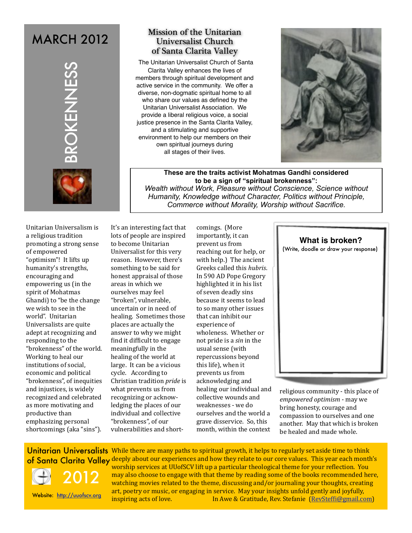# **MARCH 2012**



## Mission of the Unitarian Universalist Church of Santa Clarita Valley

The Unitarian Universalist Church of Santa Clarita Valley enhances the lives of members through spiritual development and active service in the community. We offer a diverse, non-dogmatic spiritual home to all who share our values as defined by the Unitarian Universalist Association. We provide a liberal religious voice, a social justice presence in the Santa Clarita Valley, and a stimulating and supportive environment to help our members on their own spiritual journeys during all stages of their lives.



**These are the traits activist Mohatmas Gandhi considered to be a sign of "spiritual brokenness":** *Wealth without Work, Pleasure without Conscience, Science without Humanity, Knowledge without Character, Politics without Principle, Commerce without Morality, Worship without Sacrifice.* 

**CONTRACT CONTRACT CONTRACT CONTRACT CONTRACT (CONTRACT)**<br>
Unitarian Universalism is<br>
a religious tradition<br>
Unitarian Universalism is<br>
a religious tradition<br>
of empowering as trong sense to<br>
"optimism"! It lifts up<br>
buman Unitarian Universalism is a religious tradition promoting a strong sense of empowered "optimism"! It lifts up humanity's strengths, encouraging and empowering us (in the spirit of Mohatmas Ghandi) to "be the change we wish to see in the world". Unitarian Universalists are quite adept at recognizing and responding to the "brokenness" of the world. Working to heal our institutions of social, economic and political "brokenness", of inequities and injustices, is widely recognized and celebrated as more motivating and productive than emphasizing personal shortcomings (aka "sins").

It's an interesting fact that lots of people are inspired to become Unitarian Universalist for this very reason. However, there's something to be said for honest appraisal of those areas in which we ourselves may feel "broken", vulnerable, uncertain or in need of healing. Sometimes those places are actually the answer to why we might find it difficult to engage meaningfully in the healing of the world at large. It can be a vicious cycle. According to Christian tradition *pride* is what prevents us from recognizing or acknowledging the places of our individual and collective "brokenness", of our vulnerabilities and shortcomings. (More importantly, it can prevent us from reaching out for help, or with help.) The ancient Greeks called this *hubris*. In 590 AD Pope Gregory highlighted it in his list of seven deadly sins because it seems to lead to so many other issues that can inhibit our experience of wholeness. Whether or not pride is a *sin* in the usual sense (with repercussions beyond this life), when it prevents us from acknowledging and healing our individual and collective wounds and weaknesses - we do ourselves and the world a grave disservice. So, this month, within the context

**What is broken?**





religious community - this place of *empowered optimism* - may we bring honesty, courage and compassion to ourselves and one another. May that which is broken be healed and made whole.

Unitarian Universalists While there are many paths to spiritual growth, it helps to regularly set aside time to think of Santa Clarita Valley deeply about our experiences and how they relate to our core values. This year each month's worship services at UUofSCV lift up a particular theological theme for your reflection. You may also choose to engage with that theme by reading some of the books recommended here, watching movies related to the theme, discussing and/or journaling your thoughts, creating art, poetry or music, or engaging in service. May your insights unfold gently and joyfully, inspiring acts of love. In Awe & Gratitude, Rev. Stefanie [\(RevStefBi@gmail.com\)](mailto:RevSteffi@gmail.com) 2012 Website: <http://uuofscv.org>